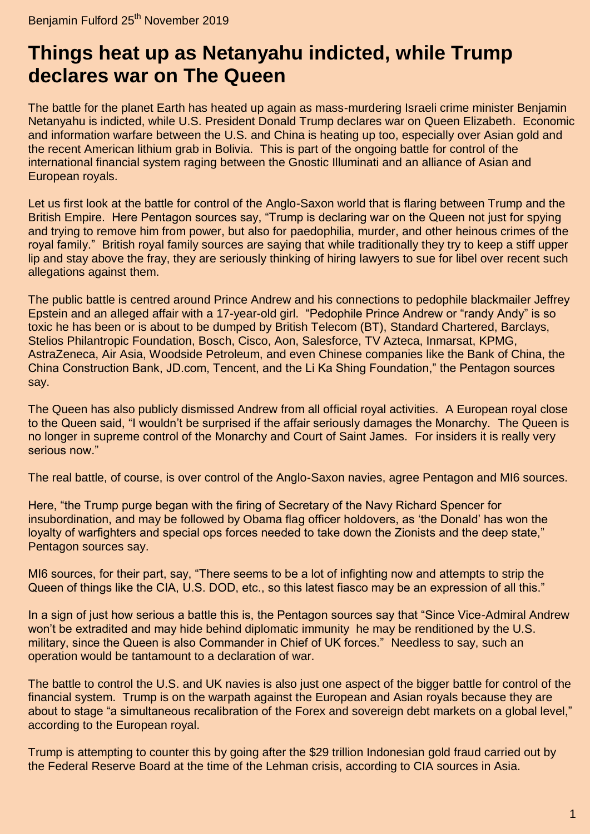## **Things heat [up as Netanyahu indicted, while Trump](https://benjaminfulford.net/2019/11/25/things-heat-up-as-netanyahu-indicted-while-trump-declares-war-on-the-queen/)  [declares war on The Queen](https://benjaminfulford.net/2019/11/25/things-heat-up-as-netanyahu-indicted-while-trump-declares-war-on-the-queen/)**

The battle for the planet Earth has heated up again as mass-murdering Israeli crime minister Benjamin Netanyahu is indicted, while U.S. President Donald Trump declares war on Queen Elizabeth. Economic and information warfare between the U.S. and China is heating up too, especially over Asian gold and the recent American lithium grab in Bolivia. This is part of the ongoing battle for control of the international financial system raging between the Gnostic Illuminati and an alliance of Asian and European royals.

Let us first look at the battle for control of the Anglo-Saxon world that is flaring between Trump and the British Empire. Here Pentagon sources say, "Trump is declaring war on the Queen not just for spying and trying to remove him from power, but also for paedophilia, murder, and other heinous crimes of the royal family." British royal family sources are saying that while traditionally they try to keep a stiff upper lip and stay above the fray, they are seriously thinking of hiring lawyers to sue for libel over recent such allegations against them.

The public battle is centred around Prince Andrew and his connections to pedophile blackmailer Jeffrey Epstein and an alleged affair with a 17-year-old girl. "Pedophile Prince Andrew or "randy Andy" is so toxic he has been or is about to be dumped by British Telecom (BT), Standard Chartered, Barclays, Stelios Philantropic Foundation, Bosch, Cisco, Aon, Salesforce, TV Azteca, Inmarsat, KPMG, AstraZeneca, Air Asia, Woodside Petroleum, and even Chinese companies like the Bank of China, the China Construction Bank, JD.com, Tencent, and the Li Ka Shing Foundation," the Pentagon sources say.

The Queen has also publicly dismissed Andrew from all official royal activities. A European royal close to the Queen said, "I wouldn't be surprised if the affair seriously damages the Monarchy. The Queen is no longer in supreme control of the Monarchy and Court of Saint James. For insiders it is really very serious now."

The real battle, of course, is over control of the Anglo-Saxon navies, agree Pentagon and MI6 sources.

Here, "the Trump purge began with the firing of Secretary of the Navy Richard Spencer for insubordination, and may be followed by Obama flag officer holdovers, as 'the Donald' has won the loyalty of warfighters and special ops forces needed to take down the Zionists and the deep state," Pentagon sources say.

MI6 sources, for their part, say, "There seems to be a lot of infighting now and attempts to strip the Queen of things like the CIA, U.S. DOD, etc., so this latest fiasco may be an expression of all this."

In a sign of just how serious a battle this is, the Pentagon sources say that "Since Vice-Admiral Andrew won't be extradited and may hide behind diplomatic immunity he may be renditioned by the U.S. military, since the Queen is also Commander in Chief of UK forces." Needless to say, such an operation would be tantamount to a declaration of war.

The battle to control the U.S. and UK navies is also just one aspect of the bigger battle for control of the financial system. Trump is on the warpath against the European and Asian royals because they are about to stage "a simultaneous recalibration of the Forex and sovereign debt markets on a global level," according to the European royal.

Trump is attempting to counter this by going after the \$29 trillion Indonesian gold fraud carried out by the Federal Reserve Board at the time of the Lehman crisis, according to CIA sources in Asia.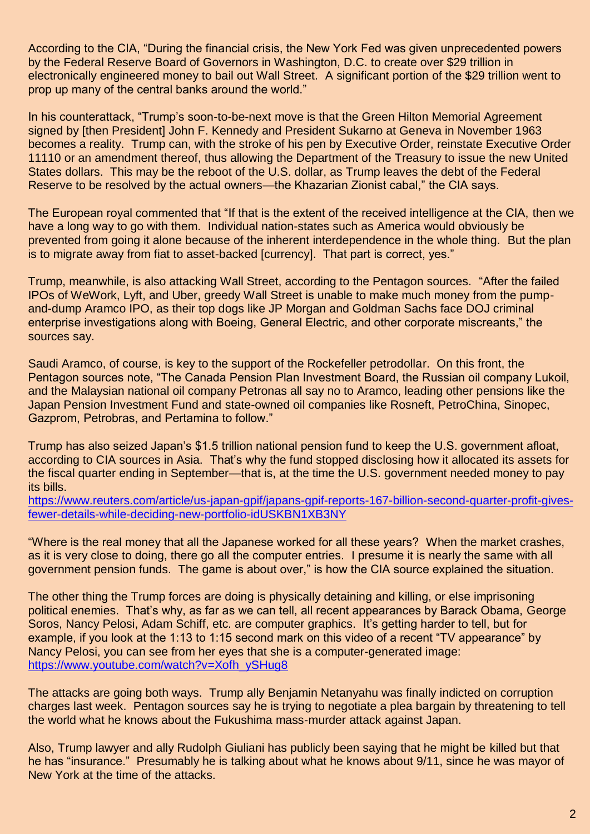According to the CIA, "During the financial crisis, the New York Fed was given unprecedented powers by the Federal Reserve Board of Governors in Washington, D.C. to create over \$29 trillion in electronically engineered money to bail out Wall Street. A significant portion of the \$29 trillion went to prop up many of the central banks around the world."

In his counterattack, "Trump's soon-to-be-next move is that the Green Hilton Memorial Agreement signed by [then President] John F. Kennedy and President Sukarno at Geneva in November 1963 becomes a reality. Trump can, with the stroke of his pen by Executive Order, reinstate Executive Order 11110 or an amendment thereof, thus allowing the Department of the Treasury to issue the new United States dollars. This may be the reboot of the U.S. dollar, as Trump leaves the debt of the Federal Reserve to be resolved by the actual owners—the Khazarian Zionist cabal," the CIA says.

The European royal commented that "If that is the extent of the received intelligence at the CIA, then we have a long way to go with them. Individual nation-states such as America would obviously be prevented from going it alone because of the inherent interdependence in the whole thing. But the plan is to migrate away from fiat to asset-backed [currency]. That part is correct, yes."

Trump, meanwhile, is also attacking Wall Street, according to the Pentagon sources. "After the failed IPOs of WeWork, Lyft, and Uber, greedy Wall Street is unable to make much money from the pumpand-dump Aramco IPO, as their top dogs like JP Morgan and Goldman Sachs face DOJ criminal enterprise investigations along with Boeing, General Electric, and other corporate miscreants," the sources say.

Saudi Aramco, of course, is key to the support of the Rockefeller petrodollar. On this front, the Pentagon sources note, "The Canada Pension Plan Investment Board, the Russian oil company Lukoil, and the Malaysian national oil company Petronas all say no to Aramco, leading other pensions like the Japan Pension Investment Fund and state-owned oil companies like Rosneft, PetroChina, Sinopec, Gazprom, Petrobras, and Pertamina to follow."

Trump has also seized Japan's \$1.5 trillion national pension fund to keep the U.S. government afloat, according to CIA sources in Asia. That's why the fund stopped disclosing how it allocated its assets for the fiscal quarter ending in September—that is, at the time the U.S. government needed money to pay its bills.

[https://www.reuters.com/article/us-japan-gpif/japans-gpif-reports-167-billion-second-quarter-profit-gives](https://www.reuters.com/article/us-japan-gpif/japans-gpif-reports-167-billion-second-quarter-profit-gives-fewer-details-while-deciding-new-portfolio-idUSKBN1XB3NY)[fewer-details-while-deciding-new-portfolio-idUSKBN1XB3NY](https://www.reuters.com/article/us-japan-gpif/japans-gpif-reports-167-billion-second-quarter-profit-gives-fewer-details-while-deciding-new-portfolio-idUSKBN1XB3NY)

"Where is the real money that all the Japanese worked for all these years? When the market crashes, as it is very close to doing, there go all the computer entries. I presume it is nearly the same with all government pension funds. The game is about over," is how the CIA source explained the situation.

The other thing the Trump forces are doing is physically detaining and killing, or else imprisoning political enemies. That's why, as far as we can tell, all recent appearances by Barack Obama, George Soros, Nancy Pelosi, Adam Schiff, etc. are computer graphics. It's getting harder to tell, but for example, if you look at the 1:13 to 1:15 second mark on this video of a recent "TV appearance" by Nancy Pelosi, you can see from her eyes that she is a computer-generated image: [https://www.youtube.com/watch?v=Xofh\\_ySHug8](https://www.youtube.com/watch?v=Xofh_ySHug8)

The attacks are going both ways. Trump ally Benjamin Netanyahu was finally indicted on corruption charges last week. Pentagon sources say he is trying to negotiate a plea bargain by threatening to tell the world what he knows about the Fukushima mass-murder attack against Japan.

Also, Trump lawyer and ally Rudolph Giuliani has publicly been saying that he might be killed but that he has "insurance." Presumably he is talking about what he knows about 9/11, since he was mayor of New York at the time of the attacks.